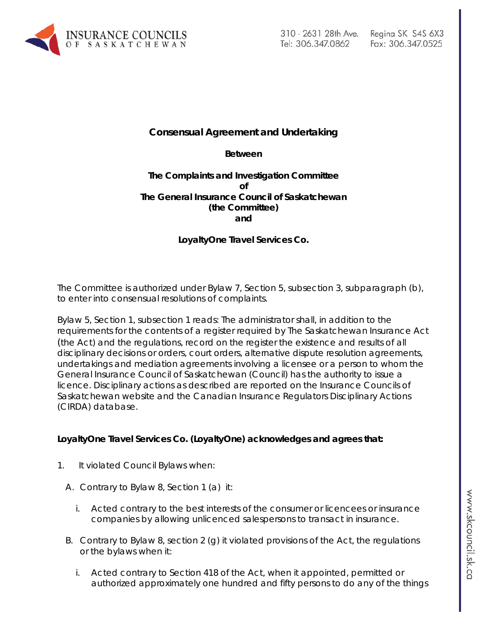

# **Consensual Agreement and Undertaking**

#### **Between**

## **The Complaints and Investigation Committee of The General Insurance Council of Saskatchewan (the Committee) and**

# **LoyaltyOne Travel Services Co.**

The Committee is authorized under Bylaw 7, Section 5, subsection 3, subparagraph (b), to enter into consensual resolutions of complaints.

Bylaw 5, Section 1, subsection 1 reads: The administrator shall, in addition to the requirements for the contents of a register required by The Saskatchewan Insurance Act (the Act) and the regulations, record on the register the existence and results of all disciplinary decisions or orders, court orders, alternative dispute resolution agreements, undertakings and mediation agreements involving a licensee or a person to whom the General Insurance Council of Saskatchewan (Council) has the authority to issue a licence. Disciplinary actions as described are reported on the Insurance Councils of Saskatchewan website and the Canadian Insurance Regulators Disciplinary Actions (CIRDA) database.

### **LoyaltyOne Travel Services Co. (LoyaltyOne) acknowledges and agrees that:**

- 1. It violated Council Bylaws when:
	- A. Contrary to Bylaw 8, Section 1 (a) it:
		- i. Acted contrary to the best interests of the consumer or licencees or insurance companies by allowing unlicenced salespersons to transact in insurance.
	- B. Contrary to Bylaw 8, section 2 (g) it violated provisions of the Act, the regulations or the bylaws when it:
		- i. Acted contrary to Section 418 of the Act, when it appointed, permitted or authorized approximately one hundred and fifty persons to do any of the things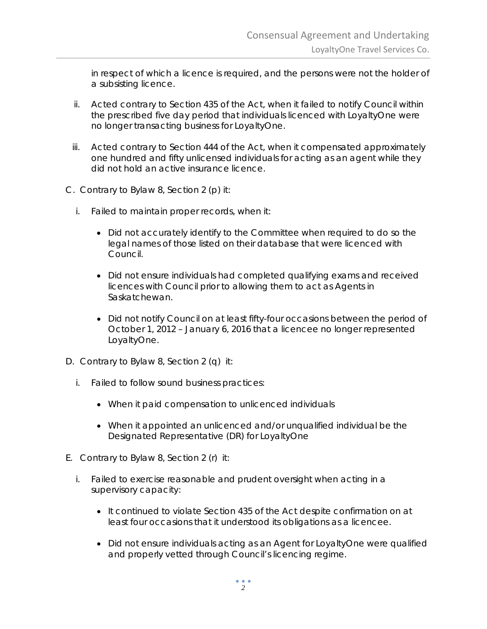in respect of which a licence is required, and the persons were not the holder of a subsisting licence.

- ii. Acted contrary to Section 435 of the Act, when it failed to notify Council within the prescribed five day period that individuals licenced with LoyaltyOne were no longer transacting business for LoyaltyOne.
- iii. Acted contrary to Section 444 of the Act, when it compensated approximately one hundred and fifty unlicensed individuals for acting as an agent while they did not hold an active insurance licence.
- C. Contrary to Bylaw 8, Section 2 (p) it:
	- i. Failed to maintain proper records, when it:
		- Did not accurately identify to the Committee when required to do so the legal names of those listed on their database that were licenced with Council.
		- Did not ensure individuals had completed qualifying exams and received licences with Council prior to allowing them to act as Agents in Saskatchewan.
		- Did not notify Council on at least fifty-four occasions between the period of October 1, 2012 – January 6, 2016 that a licencee no longer represented LoyaltyOne.
- D. Contrary to Bylaw 8, Section 2 (q) it:
	- i. Failed to follow sound business practices:
		- When it paid compensation to unlicenced individuals
		- When it appointed an unlicenced and/or unqualified individual be the Designated Representative (DR) for LoyaltyOne
- E. Contrary to Bylaw 8, Section 2 (r) it:
	- i. Failed to exercise reasonable and prudent oversight when acting in a supervisory capacity:
		- It continued to violate Section 435 of the Act despite confirmation on at least four occasions that it understood its obligations as a licencee.
		- Did not ensure individuals acting as an Agent for LoyaltyOne were qualified and properly vetted through Council's licencing regime.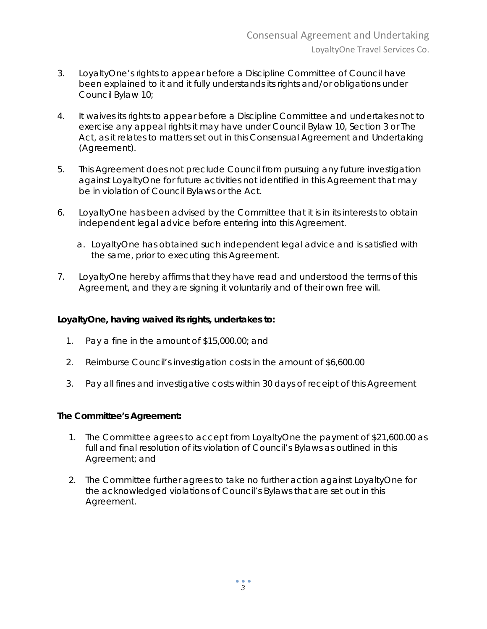- 3. LoyaltyOne's rights to appear before a Discipline Committee of Council have been explained to it and it fully understands its rights and/or obligations under Council Bylaw 10;
- 4. It waives its rights to appear before a Discipline Committee and undertakes not to exercise any appeal rights it may have under Council Bylaw 10, Section 3 or *The Act,* as it relates to matters set out in this Consensual Agreement and Undertaking (Agreement).
- 5. This Agreement does not preclude Council from pursuing any future investigation against LoyaltyOne for future activities not identified in this Agreement that may be in violation of Council Bylaws or *the Act*.
- 6. LoyaltyOne has been advised by the Committee that it is in its interests to obtain independent legal advice before entering into this Agreement.
	- a. LoyaltyOne has obtained such independent legal advice and is satisfied with the same, prior to executing this Agreement.
- 7. LoyaltyOne hereby affirms that they have read and understood the terms of this Agreement, and they are signing it voluntarily and of their own free will.

## **LoyaltyOne, having waived its rights, undertakes to:**

- 1. Pay a fine in the amount of \$15,000.00; and
- 2. Reimburse Council's investigation costs in the amount of \$6,600.00
- 3. Pay all fines and investigative costs within 30 days of receipt of this Agreement

### **The Committee's Agreement:**

- 1. The Committee agrees to accept from LoyaltyOne the payment of \$21,600.00 as full and final resolution of its violation of Council's Bylaws as outlined in this Agreement; and
- 2. The Committee further agrees to take no further action against LoyaltyOne for the acknowledged violations of Council's Bylaws that are set out in this Agreement.